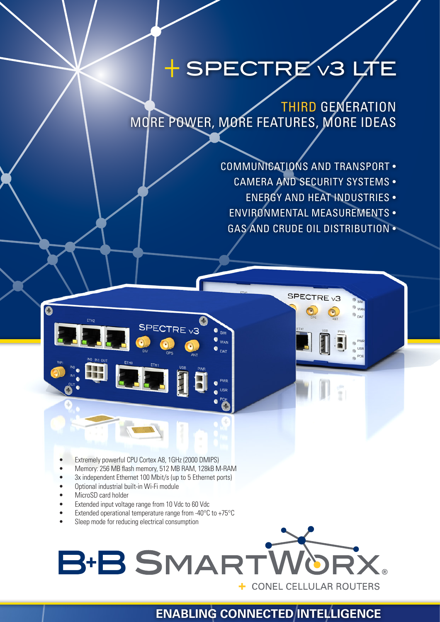## + SPECTRE v3 LT

THIRD GENERATION MORE POWER, MORE FEATURES, MORE IDEAS

- COMMUNICATIONS AND TRANSPORT
	- CAMERA AND SECURITY SYSTEMS
		- ENERGY AND HEAT INDUSTRIES •
	- ENVIRONMENTAL MEASUREMENTS •
	- GAS AND CRUDE OIL DISTRIBUTION •

SPECTRE<sub>v3</sub>

- Extremely powerful CPU Cortex A8, 1GHz (2000 DMIPS)
- Memory: 256 MB flash memory, 512 MB RAM, 128kB M-RAM

SPECTRE <sub>V3</sub>

- 3x independent Ethernet 100 Mbit/s (up to 5 Ethernet ports)
- Optional industrial built-in Wi-Fi module
- MicroSD card holder

Ő

- Extended input voltage range from 10 Vdc to 60 Vdc
- Extended operational temperature range from -40 $\degree$ C to +75 $\degree$ C
- Sleep mode for reducing electrical consumption

# **B+B SMART**

**WAN**  $\bullet$  <sub>dat</sub>

+ CONEL CELLULAR ROUTERS

## **ENABLING CONNECTED INTELLIGENCE**